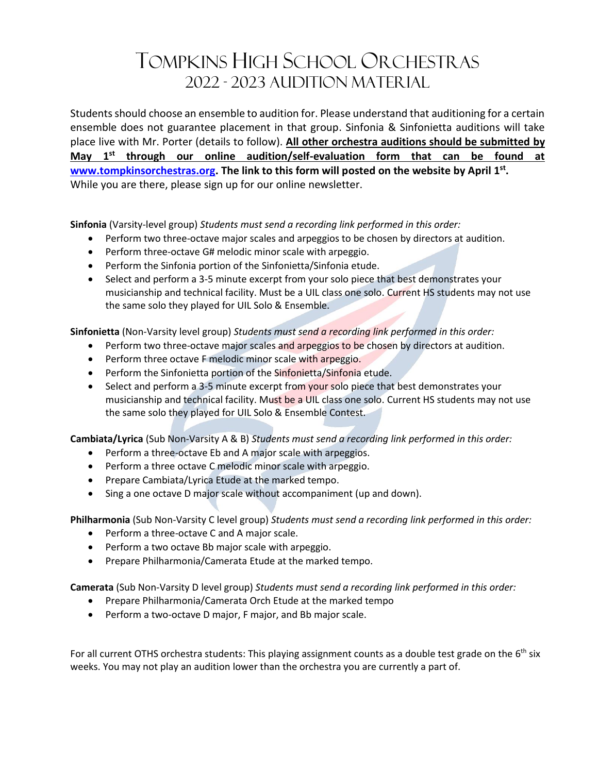## TOMPKINS HIGH SCHOOL ORCHESTRAS 2022 - 2023 AUDITION MATERIAL

Students should choose an ensemble to audition for. Please understand that auditioning for a certain ensemble does not guarantee placement in that group. Sinfonia & Sinfonietta auditions will take place live with Mr. Porter (details to follow). **All other orchestra auditions should be submitted by May 1st through our online audition/self-evaluation form that can be found at [www.tompkinsorchestras.org.](file:///C:/Users/p0307100/Dropbox/OTHS/Audition%20Info%20&%20Fliers/www.tompkinsorchestras.org) The link to this form will posted on the website by April 1st .** While you are there, please sign up for our online newsletter.

**Sinfonia** (Varsity-level group) *Students must send a recording link performed in this order:* 

- Perform two three-octave major scales and arpeggios to be chosen by directors at audition.
- Perform three-octave G# melodic minor scale with arpeggio.
- Perform the Sinfonia portion of the Sinfonietta/Sinfonia etude.
- Select and perform a 3-5 minute excerpt from your solo piece that best demonstrates your musicianship and technical facility. Must be a UIL class one solo. Current HS students may not use the same solo they played for UIL Solo & Ensemble.

**Sinfonietta** (Non-Varsity level group) *Students must send a recording link performed in this order:*

- Perform two three-octave major scales and arpeggios to be chosen by directors at audition.
- Perform three octave F melodic minor scale with arpeggio.
- Perform the Sinfonietta portion of the Sinfonietta/Sinfonia etude.
- Select and perform a 3-5 minute excerpt from your solo piece that best demonstrates your musicianship and technical facility. Must be a UIL class one solo. Current HS students may not use the same solo they played for UIL Solo & Ensemble Contest.

**Cambiata/Lyrica** (Sub Non-Varsity A & B) *Students must send a recording link performed in this order:*

- Perform a three-octave Eb and A major scale with arpeggios.
- Perform a three octave C melodic minor scale with arpeggio.
- Prepare Cambiata/Lyrica Etude at the marked tempo.
- Sing a one octave D major scale without accompaniment (up and down).

**Philharmonia** (Sub Non-Varsity C level group) *Students must send a recording link performed in this order:*

- Perform a three-octave C and A major scale.
- Perform a two octave Bb major scale with arpeggio.
- Prepare Philharmonia/Camerata Etude at the marked tempo.

**Camerata** (Sub Non-Varsity D level group) *Students must send a recording link performed in this order:*

- Prepare Philharmonia/Camerata Orch Etude at the marked tempo
- Perform a two-octave D major, F major, and Bb major scale.

For all current OTHS orchestra students: This playing assignment counts as a double test grade on the  $6<sup>th</sup>$  six weeks. You may not play an audition lower than the orchestra you are currently a part of.